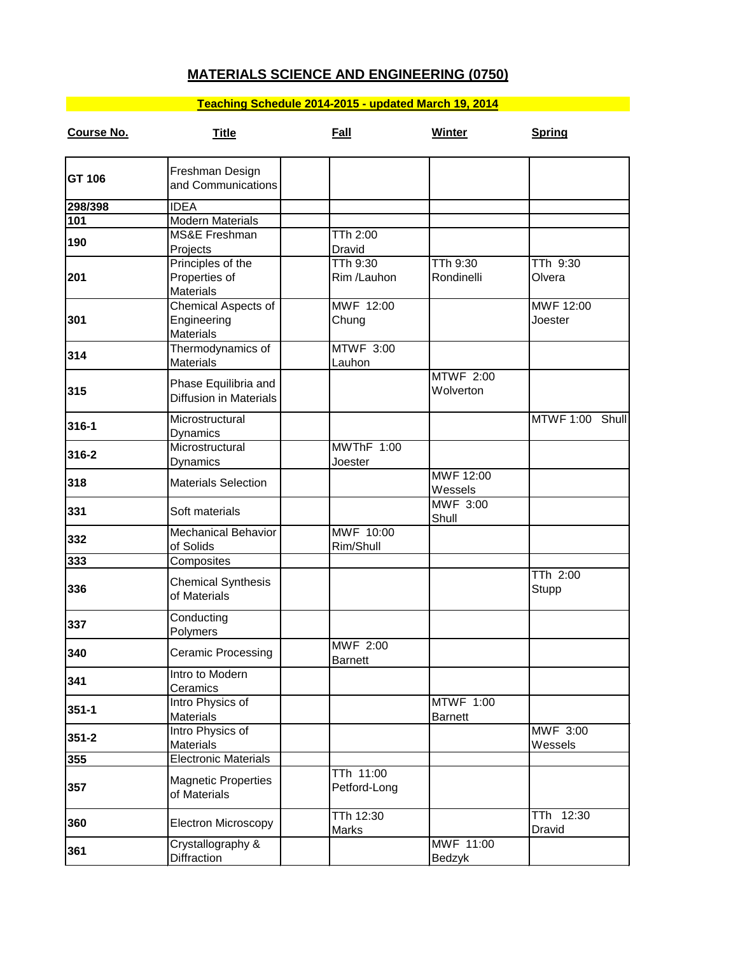## **MATERIALS SCIENCE AND ENGINEERING (0750)**

## **Teaching Schedule 2014-2015 - updated March 19, 2014**

| Course No. | <b>Title</b>                          | Fall             | <b>Winter</b>    | <b>Spring</b>   |
|------------|---------------------------------------|------------------|------------------|-----------------|
|            | Freshman Design                       |                  |                  |                 |
| GT 106     | and Communications                    |                  |                  |                 |
| 298/398    | <b>IDEA</b>                           |                  |                  |                 |
| 101        | <b>Modern Materials</b>               |                  |                  |                 |
| 190        | <b>MS&amp;E Freshman</b>              | TTh 2:00         |                  |                 |
|            | Projects                              | Dravid           |                  |                 |
|            | Principles of the                     | TTh 9:30         | <b>TTh 9:30</b>  | TTh 9:30        |
| 201        | Properties of                         | Rim /Lauhon      | Rondinelli       | Olvera          |
|            | <b>Materials</b>                      |                  |                  |                 |
|            | Chemical Aspects of                   | MWF 12:00        |                  | MWF 12:00       |
| 301        | Engineering                           | Chung            |                  | Joester         |
|            | <b>Materials</b>                      | <b>MTWF 3:00</b> |                  |                 |
| 314        | Thermodynamics of<br><b>Materials</b> | Lauhon           |                  |                 |
|            |                                       |                  | <b>MTWF 2:00</b> |                 |
| 315        | Phase Equilibria and                  |                  | Wolverton        |                 |
|            | <b>Diffusion in Materials</b>         |                  |                  |                 |
|            | Microstructural                       |                  |                  | MTWF 1:00 Shull |
| 316-1      | Dynamics                              |                  |                  |                 |
|            | Microstructural                       | MWThF 1:00       |                  |                 |
| 316-2      | Dynamics                              | Joester          |                  |                 |
|            |                                       |                  | MWF 12:00        |                 |
| 318        | <b>Materials Selection</b>            |                  | Wessels          |                 |
|            | Soft materials                        |                  | <b>MWF 3:00</b>  |                 |
| 331        |                                       |                  | Shull            |                 |
| 332        | <b>Mechanical Behavior</b>            | MWF 10:00        |                  |                 |
|            | of Solids                             | Rim/Shull        |                  |                 |
| 333        | Composites                            |                  |                  |                 |
| 336        | <b>Chemical Synthesis</b>             |                  |                  | TTh 2:00        |
|            | of Materials                          |                  |                  | Stupp           |
|            |                                       |                  |                  |                 |
| 337        | Conducting                            |                  |                  |                 |
|            | Polymers                              | <b>MWF 2:00</b>  |                  |                 |
| 340<br>341 | <b>Ceramic Processing</b>             | <b>Barnett</b>   |                  |                 |
|            | Intro to Modern                       |                  |                  |                 |
|            | Ceramics                              |                  |                  |                 |
|            | Intro Physics of                      |                  | <b>MTWF 1:00</b> |                 |
| $351 - 1$  | <b>Materials</b>                      |                  | <b>Barnett</b>   |                 |
| $351 - 2$  | Intro Physics of                      |                  |                  | MWF 3:00        |
|            | <b>Materials</b>                      |                  |                  | Wessels         |
| 355        | <b>Electronic Materials</b>           |                  |                  |                 |
|            | <b>Magnetic Properties</b>            | TTh 11:00        |                  |                 |
| 357        | of Materials                          | Petford-Long     |                  |                 |
|            |                                       |                  |                  |                 |
| 360        | <b>Electron Microscopy</b>            | TTh 12:30        |                  | TTh 12:30       |
|            |                                       | <b>Marks</b>     |                  | Dravid          |
| 361        | Crystallography &                     |                  | MWF 11:00        |                 |
|            | Diffraction                           |                  | Bedzyk           |                 |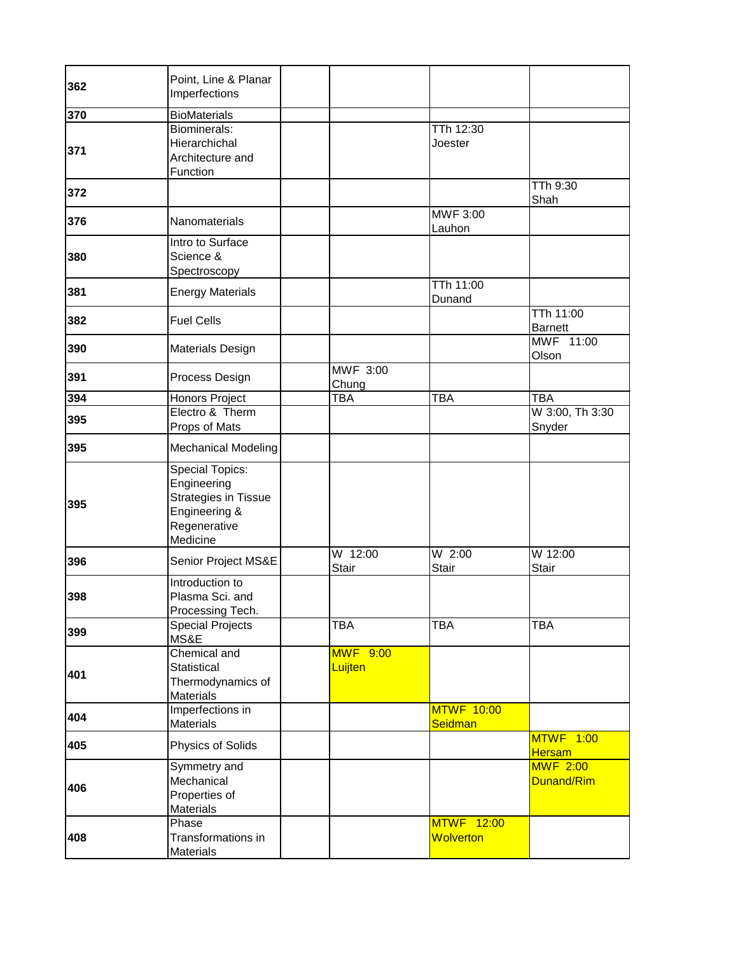| 362 | Point, Line & Planar<br>Imperfections                                                                             |                            |                                |                               |
|-----|-------------------------------------------------------------------------------------------------------------------|----------------------------|--------------------------------|-------------------------------|
| 370 | <b>BioMaterials</b>                                                                                               |                            |                                |                               |
| 371 | Biominerals:<br>Hierarchichal<br>Architecture and<br>Function                                                     |                            | TTh 12:30<br>Joester           |                               |
| 372 |                                                                                                                   |                            |                                | TTh 9:30<br>Shah              |
| 376 | Nanomaterials                                                                                                     |                            | MWF 3:00<br>Lauhon             |                               |
| 380 | Intro to Surface<br>Science &<br>Spectroscopy                                                                     |                            |                                |                               |
| 381 | <b>Energy Materials</b>                                                                                           |                            | TTh 11:00<br>Dunand            |                               |
| 382 | <b>Fuel Cells</b>                                                                                                 |                            |                                | TTh 11:00<br>Barnett          |
| 390 | Materials Design                                                                                                  |                            |                                | MWF 11:00<br>Olson            |
| 391 | Process Design                                                                                                    | <b>MWF 3:00</b><br>Chung   |                                |                               |
| 394 | Honors Project                                                                                                    | <b>TBA</b>                 | <b>TBA</b>                     | <b>TBA</b>                    |
| 395 | Electro & Therm<br>Props of Mats                                                                                  |                            |                                | W 3:00, Th 3:30<br>Snyder     |
| 395 | <b>Mechanical Modeling</b>                                                                                        |                            |                                |                               |
| 395 | <b>Special Topics:</b><br>Engineering<br><b>Strategies in Tissue</b><br>Engineering &<br>Regenerative<br>Medicine |                            |                                |                               |
| 396 | Senior Project MS&E                                                                                               | W 12:00<br><b>Stair</b>    | $W$ 2:00<br><b>Stair</b>       | W 12:00<br><b>Stair</b>       |
| 398 | Introduction to<br>Plasma Sci. and<br>Processing Tech.                                                            |                            |                                |                               |
| 399 | <b>Special Projects</b><br>MS&E                                                                                   | <b>TBA</b>                 | <b>TBA</b>                     | <b>TBA</b>                    |
| 401 | Chemical and<br>Statistical<br>Thermodynamics of<br>Materials                                                     | <b>MWF 9:00</b><br>Luijten |                                |                               |
| 404 | Imperfections in<br><b>Materials</b>                                                                              |                            | <b>MTWF 10:00</b><br>Seidman   |                               |
| 405 | Physics of Solids                                                                                                 |                            |                                | <b>MTWF 1:00</b><br>Hersam    |
| 406 | Symmetry and<br>Mechanical<br>Properties of<br><b>Materials</b>                                                   |                            |                                | <b>MWF 2:00</b><br>Dunand/Rim |
| 408 | Phase<br>Transformations in<br>Materials                                                                          |                            | <b>MTWF 12:00</b><br>Wolverton |                               |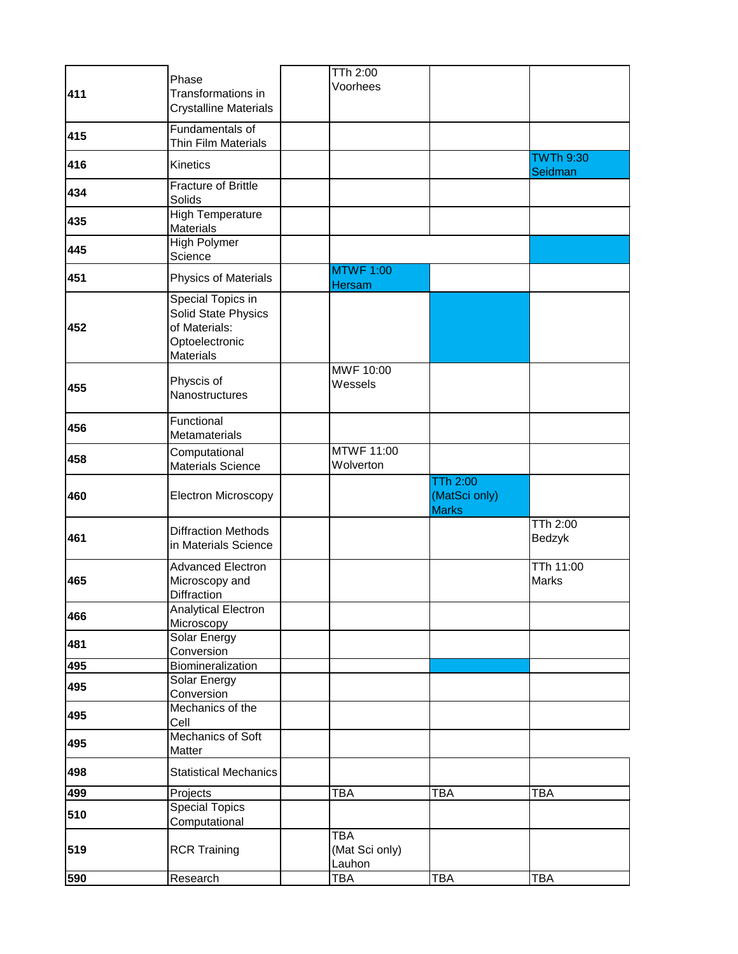| 411 | Phase<br>Transformations in<br><b>Crystalline Materials</b>                                     | TTh 2:00<br>Voorhees                   |                               |                                           |
|-----|-------------------------------------------------------------------------------------------------|----------------------------------------|-------------------------------|-------------------------------------------|
| 415 | Fundamentals of<br>Thin Film Materials                                                          |                                        |                               |                                           |
| 416 | Kinetics                                                                                        |                                        |                               | $\overline{\text{TW}}$ Th 9:30<br>Seidman |
| 434 | <b>Fracture of Brittle</b><br>Solids                                                            |                                        |                               |                                           |
| 435 | <b>High Temperature</b><br><b>Materials</b>                                                     |                                        |                               |                                           |
| 445 | <b>High Polymer</b><br>Science                                                                  |                                        |                               |                                           |
| 451 | Physics of Materials                                                                            | <b>MTWF 1:00</b><br>Hersam             |                               |                                           |
| 452 | Special Topics in<br>Solid State Physics<br>of Materials:<br>Optoelectronic<br><b>Materials</b> |                                        |                               |                                           |
| 455 | Physcis of<br>Nanostructures                                                                    | MWF 10:00<br>Wessels                   |                               |                                           |
| 456 | Functional<br>Metamaterials                                                                     |                                        |                               |                                           |
| 458 | Computational<br><b>Materials Science</b>                                                       | <b>MTWF 11:00</b><br>Wolverton         |                               |                                           |
|     |                                                                                                 |                                        | <b>TTh 2:00</b>               |                                           |
| 460 | <b>Electron Microscopy</b>                                                                      |                                        | (MatSci only)<br><b>Marks</b> |                                           |
| 461 | <b>Diffraction Methods</b><br>in Materials Science                                              |                                        |                               | <b>TTh 2:00</b><br>Bedzyk                 |
| 465 | Advanced Electron<br>Microscopy and<br>Diffraction                                              |                                        |                               | <b>TTh 11:00</b><br>Marks                 |
| 466 | <b>Analytical Electron</b>                                                                      |                                        |                               |                                           |
| 481 | Microscopy<br><b>Solar Energy</b><br>Conversion                                                 |                                        |                               |                                           |
| 495 | Biomineralization                                                                               |                                        |                               |                                           |
| 495 | Solar Energy                                                                                    |                                        |                               |                                           |
| 495 | Conversion<br>Mechanics of the<br>Cell                                                          |                                        |                               |                                           |
| 495 | Mechanics of Soft<br>Matter                                                                     |                                        |                               |                                           |
| 498 | <b>Statistical Mechanics</b>                                                                    |                                        |                               |                                           |
| 499 | Projects                                                                                        | <b>TBA</b>                             | <b>TBA</b>                    | TBA                                       |
| 510 | <b>Special Topics</b><br>Computational                                                          |                                        |                               |                                           |
| 519 | <b>RCR Training</b>                                                                             | <b>TBA</b><br>(Mat Sci only)<br>Lauhon |                               |                                           |